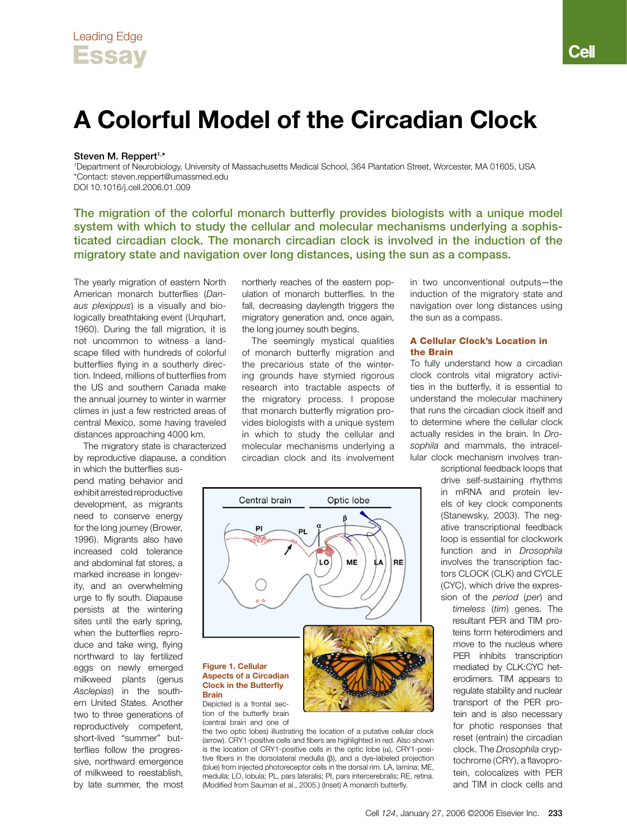# **A Colorful Model of the Circadian Clock**

#### Steven M. Reppert<sup>1,\*</sup>

1 Department of Neurobiology, University of Massachusetts Medical School, 364 Plantation Street, Worcester, MA 01605, USA \*Contact: steven.reppert@umassmed.edu DOI 10.1016/j.cell.2006.01.009

The migration of the colorful monarch butterfly provides biologists with a unique model system with which to study the cellular and molecular mechanisms underlying a sophisticated circadian clock. The monarch circadian clock is involved in the induction of the migratory state and navigation over long distances, using the sun as a compass.

The yearly migration of eastern North American monarch butterflies (*Danaus plexippus*) is a visually and biologically breathtaking event (Urquhart, 1960). During the fall migration, it is not uncommon to witness a landscape filled with hundreds of colorful butterflies flying in a southerly direction. Indeed, millions of butterflies from the US and southern Canada make the annual journey to winter in warmer climes in just a few restricted areas of central Mexico, some having traveled distances approaching 4000 km.

The migratory state is characterized by reproductive diapause, a condition

in which the butterflies suspend mating behavior and exhibit arrested reproductive development, as migrants need to conserve energy for the long journey (Brower, 1996). Migrants also have increased cold tolerance and abdominal fat stores, a marked increase in longevity, and an overwhelming urge to fly south. Diapause persists at the wintering sites until the early spring, when the butterflies reproduce and take wing, flying northward to lay fertilized eggs on newly emerged milkweed plants (genus *Asclepias*) in the southern United States. Another two to three generations of reproductively competent, short-lived "summer" butterflies follow the progressive, northward emergence of milkweed to reestablish, by late summer, the most

northerly reaches of the eastern population of monarch butterflies. In the fall, decreasing daylength triggers the migratory generation and, once again, the long journey south begins.

The seemingly mystical qualities of monarch butterfly migration and the precarious state of the wintering grounds have stymied rigorous research into tractable aspects of the migratory process. I propose that monarch butterfly migration provides biologists with a unique system in which to study the cellular and molecular mechanisms underlying a circadian clock and its involvement



the two optic lobes) illustrating the location of a putative cellular clock (arrow). CRY1-positive cells and fibers are highlighted in red. Also shown is the location of CRY1-positive cells in the optic lobe  $(\alpha)$ , CRY1-positive fibers in the dorsolateral medulla  $(\beta)$ , and a dye-labeled projection (blue) from injected photoreceptor cells in the dorsal rim. LA, lamina; ME, medulla; LO, lobula; PL, pars lateralis; PI, pars intercerebralis; RE, retina. (Modified from Sauman et al., 2005.) (Inset) A monarch butterfly.

in two unconventional outputs—the induction of the migratory state and navigation over long distances using the sun as a compass.

## A Cellular Clock's Location in the Brain

To fully understand how a circadian clock controls vital migratory activities in the butterfly, it is essential to understand the molecular machinery that runs the circadian clock itself and to determine where the cellular clock actually resides in the brain. In *Drosophila* and mammals, the intracellular clock mechanism involves tran-

> scriptional feedback loops that drive self-sustaining rhythms in mRNA and protein levels of key clock components (Stanewsky, 2003). The negative transcriptional feedback loop is essential for clockwork function and in *Drosophila* involves the transcription factors CLOCK (CLK) and CYCLE (CYC), which drive the expression of the *period* (*per*) and

*timeless* (*tim*) genes. The resultant PER and TIM proteins form heterodimers and move to the nucleus where PER inhibits transcription mediated by CLK:CYC heterodimers. TIM appears to regulate stability and nuclear transport of the PER protein and is also necessary for photic responses that reset (entrain) the circadian clock. The *Drosophila* cryptochrome (CRY), a flavoprotein, colocalizes with PER and TIM in clock cells and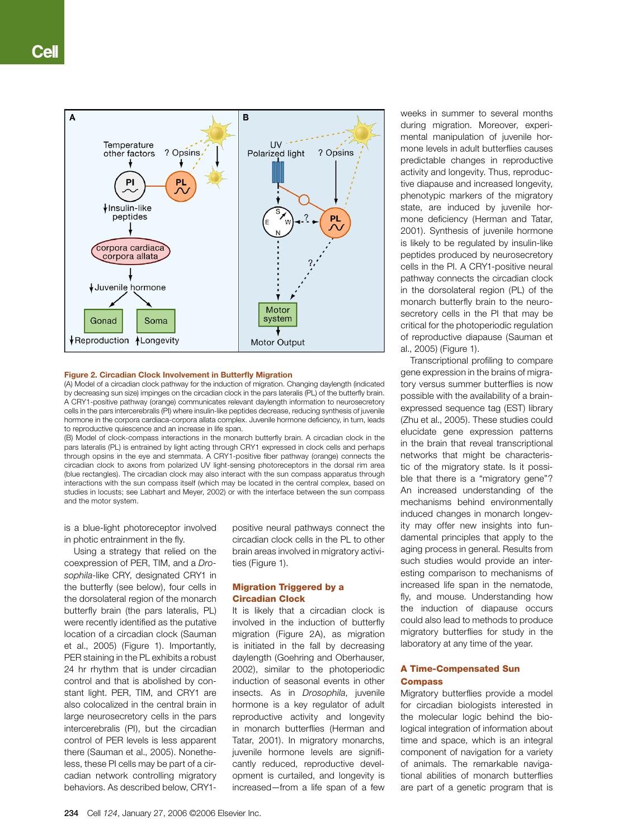

#### **Figure 2. Circadian Clock Involvement in Butterfly Migration**

(A) Model of a circadian clock pathway for the induction of migration. Changing daylength (indicated by decreasing sun size) impinges on the circadian clock in the pars lateralis (PL) of the butterfly brain. A CRY1-positive pathway (orange) communicates relevant daylength information to neurosecretory cells in the pars intercerebralis (PI) where insulin-like peptides decrease, reducing synthesis of juvenile hormone in the corpora cardiaca-corpora allata complex. Juvenile hormone deficiency, in turn, leads to reproductive quiescence and an increase in life span.

(B) Model of clock-compass interactions in the monarch butterfly brain. A circadian clock in the pars lateralis (PL) is entrained by light acting through CRY1 expressed in clock cells and perhaps through opsins in the eye and stemmata. A CRY1-positive fiber pathway (orange) connects the circadian clock to axons from polarized UV light-sensing photoreceptors in the dorsal rim area (blue rectangles). The circadian clock may also interact with the sun compass apparatus through interactions with the sun compass itself (which may be located in the central complex, based on studies in locusts; see Labhart and Meyer, 2002) or with the interface between the sun compass and the motor system.

is a blue-light photoreceptor involved in photic entrainment in the fly.

Using a strategy that relied on the coexpression of PER, TIM, and a *Drosophila*-like CRY, designated CRY1 in the butterfly (see below), four cells in the dorsolateral region of the monarch butterfly brain (the pars lateralis, PL) were recently identified as the putative location of a circadian clock (Sauman et al., 2005) (Figure 1). Importantly, PER staining in the PL exhibits a robust 24 hr rhythm that is under circadian control and that is abolished by constant light. PER, TIM, and CRY1 are also colocalized in the central brain in large neurosecretory cells in the pars intercerebralis (PI), but the circadian control of PER levels is less apparent there (Sauman et al., 2005). Nonetheless, these PI cells may be part of a circadian network controlling migratory behaviors. As described below, CRY1positive neural pathways connect the circadian clock cells in the PL to other brain areas involved in migratory activities (Figure 1).

## Migration Triggered by a Circadian Clock

It is likely that a circadian clock is involved in the induction of butterfly migration (Figure 2A), as migration is initiated in the fall by decreasing daylength (Goehring and Oberhauser, 2002), similar to the photoperiodic induction of seasonal events in other insects. As in *Drosophila*, juvenile hormone is a key regulator of adult reproductive activity and longevity in monarch butterflies (Herman and Tatar, 2001). In migratory monarchs, juvenile hormone levels are significantly reduced, reproductive development is curtailed, and longevity is increased—from a life span of a few weeks in summer to several months during migration. Moreover, experimental manipulation of juvenile hormone levels in adult butterflies causes predictable changes in reproductive activity and longevity. Thus, reproductive diapause and increased longevity, phenotypic markers of the migratory state, are induced by juvenile hormone deficiency (Herman and Tatar, 2001). Synthesis of juvenile hormone is likely to be regulated by insulin-like peptides produced by neurosecretory cells in the PI. A CRY1-positive neural pathway connects the circadian clock in the dorsolateral region (PL) of the monarch butterfly brain to the neurosecretory cells in the PI that may be critical for the photoperiodic regulation of reproductive diapause (Sauman et al., 2005) (Figure 1).

Transcriptional profiling to compare gene expression in the brains of migratory versus summer butterflies is now possible with the availability of a brainexpressed sequence tag (EST) library (Zhu et al., 2005). These studies could elucidate gene expression patterns in the brain that reveal transcriptional networks that might be characteristic of the migratory state. Is it possible that there is a "migratory gene"? An increased understanding of the mechanisms behind environmentally induced changes in monarch longevity may offer new insights into fundamental principles that apply to the aging process in general. Results from such studies would provide an interesting comparison to mechanisms of increased life span in the nematode, fly, and mouse. Understanding how the induction of diapause occurs could also lead to methods to produce migratory butterflies for study in the laboratory at any time of the year.

#### A Time-Compensated Sun **Compass**

Migratory butterflies provide a model for circadian biologists interested in the molecular logic behind the biological integration of information about time and space, which is an integral component of navigation for a variety of animals. The remarkable navigational abilities of monarch butterflies are part of a genetic program that is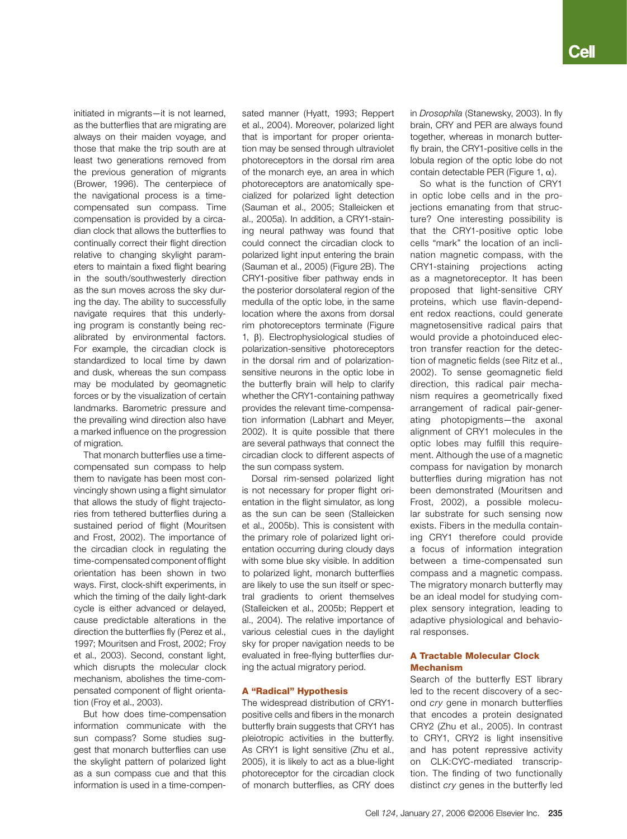initiated in migrants—it is not learned, as the butterflies that are migrating are always on their maiden voyage, and those that make the trip south are at least two generations removed from the previous generation of migrants (Brower, 1996). The centerpiece of the navigational process is a timecompensated sun compass. Time compensation is provided by a circadian clock that allows the butterflies to continually correct their flight direction relative to changing skylight parameters to maintain a fixed flight bearing in the south/southwesterly direction as the sun moves across the sky during the day. The ability to successfully navigate requires that this underlying program is constantly being recalibrated by environmental factors. For example, the circadian clock is standardized to local time by dawn and dusk, whereas the sun compass may be modulated by geomagnetic forces or by the visualization of certain landmarks. Barometric pressure and the prevailing wind direction also have a marked influence on the progression of migration.

That monarch butterflies use a timecompensated sun compass to help them to navigate has been most convincingly shown using a flight simulator that allows the study of flight trajectories from tethered butterflies during a sustained period of flight (Mouritsen and Frost, 2002). The importance of the circadian clock in regulating the time-compensated component of flight orientation has been shown in two ways. First, clock-shift experiments, in which the timing of the daily light-dark cycle is either advanced or delayed, cause predictable alterations in the direction the butterflies fly (Perez et al., 1997; Mouritsen and Frost, 2002; Froy et al., 2003). Second, constant light, which disrupts the molecular clock mechanism, abolishes the time-compensated component of flight orientation (Froy et al., 2003).

But how does time-compensation information communicate with the sun compass? Some studies suggest that monarch butterflies can use the skylight pattern of polarized light as a sun compass cue and that this information is used in a time-compensated manner (Hyatt, 1993; Reppert et al., 2004). Moreover, polarized light that is important for proper orientation may be sensed through ultraviolet photoreceptors in the dorsal rim area of the monarch eye, an area in which photoreceptors are anatomically specialized for polarized light detection (Sauman et al., 2005; Stalleicken et al., 2005a). In addition, a CRY1-staining neural pathway was found that could connect the circadian clock to polarized light input entering the brain (Sauman et al., 2005) (Figure 2B). The CRY1-positive fiber pathway ends in the posterior dorsolateral region of the medulla of the optic lobe, in the same location where the axons from dorsal rim photoreceptors terminate (Figure 1,  $\beta$ ). Electrophysiological studies of polarization-sensitive photoreceptors in the dorsal rim and of polarizationsensitive neurons in the optic lobe in the butterfly brain will help to clarify whether the CRY1-containing pathway provides the relevant time-compensation information (Labhart and Meyer, 2002). It is quite possible that there are several pathways that connect the circadian clock to different aspects of the sun compass system.

Dorsal rim-sensed polarized light is not necessary for proper flight orientation in the flight simulator, as long as the sun can be seen (Stalleicken et al., 2005b). This is consistent with the primary role of polarized light orientation occurring during cloudy days with some blue sky visible. In addition to polarized light, monarch butterflies are likely to use the sun itself or spectral gradients to orient themselves (Stalleicken et al., 2005b; Reppert et al., 2004). The relative importance of various celestial cues in the daylight sky for proper navigation needs to be evaluated in free-flying butterflies during the actual migratory period.

#### A "Radical" Hypothesis

The widespread distribution of CRY1 positive cells and fibers in the monarch butterfly brain suggests that CRY1 has pleiotropic activities in the butterfly. As CRY1 is light sensitive (Zhu et al., 2005), it is likely to act as a blue-light photoreceptor for the circadian clock of monarch butterflies, as CRY does in *Drosophila* (Stanewsky, 2003). In fly brain, CRY and PER are always found together, whereas in monarch butterfly brain, the CRY1-positive cells in the lobula region of the optic lobe do not contain detectable PER (Figure 1,  $\alpha$ ).

So what is the function of CRY1 in optic lobe cells and in the projections emanating from that structure? One interesting possibility is that the CRY1-positive optic lobe cells "mark" the location of an inclination magnetic compass, with the CRY1-staining projections acting as a magnetoreceptor. It has been proposed that light-sensitive CRY proteins, which use flavin-dependent redox reactions, could generate magnetosensitive radical pairs that would provide a photoinduced electron transfer reaction for the detection of magnetic fields (see Ritz et al., 2002). To sense geomagnetic field direction, this radical pair mechanism requires a geometrically fixed arrangement of radical pair-generating photopigments—the axonal alignment of CRY1 molecules in the optic lobes may fulfill this requirement. Although the use of a magnetic compass for navigation by monarch butterflies during migration has not been demonstrated (Mouritsen and Frost, 2002), a possible molecular substrate for such sensing now exists. Fibers in the medulla containing CRY1 therefore could provide a focus of information integration between a time-compensated sun compass and a magnetic compass. The migratory monarch butterfly may be an ideal model for studying complex sensory integration, leading to adaptive physiological and behavioral responses.

# A Tractable Molecular Clock Mechanism

Search of the butterfly EST library led to the recent discovery of a second *cry* gene in monarch butterflies that encodes a protein designated CRY2 (Zhu et al., 2005). In contrast to CRY1, CRY2 is light insensitive and has potent repressive activity on CLK:CYC-mediated transcription. The finding of two functionally distinct *cry* genes in the butterfly led